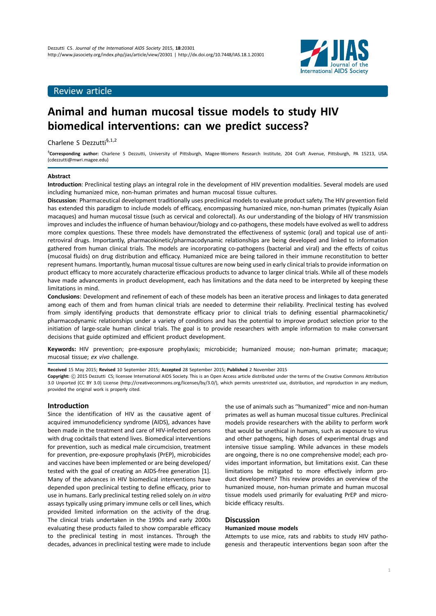# [Review article](http://www.jiasociety.org/index.php/jias/article/view/20301)



# Animal and human mucosal tissue models to study HIV biomedical interventions: can we predict success?

# Charlene S Dezzutti<sup>§,1,2</sup>

<sup>§</sup>Corresponding author: Charlene S Dezzutti, University of Pittsburgh, Magee-Womens Research Institute, 204 Craft Avenue, Pittsburgh, PA 15213, USA. (cdezzutti@mwri.magee.edu)

# Abstract

Introduction: Preclinical testing plays an integral role in the development of HIV prevention modalities. Several models are used including humanized mice, non-human primates and human mucosal tissue cultures.

Discussion: Pharmaceutical development traditionally uses preclinical models to evaluate product safety. The HIV prevention field has extended this paradigm to include models of efficacy, encompassing humanized mice, non-human primates (typically Asian macaques) and human mucosal tissue (such as cervical and colorectal). As our understanding of the biology of HIV transmission improves and includes the influence of human behaviour/biology and co-pathogens, these models have evolved as well to address more complex questions. These three models have demonstrated the effectiveness of systemic (oral) and topical use of antiretroviral drugs. Importantly, pharmacokinetic/pharmacodynamic relationships are being developed and linked to information gathered from human clinical trials. The models are incorporating co-pathogens (bacterial and viral) and the effects of coitus (mucosal fluids) on drug distribution and efficacy. Humanized mice are being tailored in their immune reconstitution to better represent humans. Importantly, human mucosal tissue cultures are now being used in early clinical trials to provide information on product efficacy to more accurately characterize efficacious products to advance to larger clinical trials. While all of these models have made advancements in product development, each has limitations and the data need to be interpreted by keeping these limitations in mind.

Conclusions: Development and refinement of each of these models has been an iterative process and linkages to data generated among each of them and from human clinical trials are needed to determine their reliability. Preclinical testing has evolved from simply identifying products that demonstrate efficacy prior to clinical trials to defining essential pharmacokinetic/ pharmacodynamic relationships under a variety of conditions and has the potential to improve product selection prior to the initiation of large-scale human clinical trials. The goal is to provide researchers with ample information to make conversant decisions that guide optimized and efficient product development.

Keywords: HIV prevention; pre-exposure prophylaxis; microbicide; humanized mouse; non-human primate; macaque; mucosal tissue; ex vivo challenge.

Received 15 May 2015; Revised 10 September 2015; Accepted 28 September 2015; Published 2 November 2015

Copyright: © 2015 Dezzutti CS; licensee International AIDS Society. This is an Open Access article distributed under the terms of the Creative Commons Attribution 3.0 Unported (CC BY 3.0) License (http://creativecommons.org/licenses/by/3.0/), which permits unrestricted use, distribution, and reproduction in any medium, provided the original work is properly cited.

# Introduction

Since the identification of HIV as the causative agent of acquired immunodeficiency syndrome (AIDS), advances have been made in the treatment and care of HIV-infected persons with drug cocktails that extend lives. Biomedical interventions for prevention, such as medical male circumcision, treatment for prevention, pre-exposure prophylaxis (PrEP), microbicides and vaccines have been implemented or are being developed/ tested with the goal of creating an AIDS-free generation [1]. Many of the advances in HIV biomedical interventions have depended upon preclinical testing to define efficacy, prior to use in humans. Early preclinical testing relied solely on in vitro assays typically using primary immune cells or cell lines, which provided limited information on the activity of the drug. The clinical trials undertaken in the 1990s and early 2000s evaluating these products failed to show comparable efficacy to the preclinical testing in most instances. Through the decades, advances in preclinical testing were made to include

the use of animals such as ''humanized'' mice and non-human primates as well as human mucosal tissue cultures. Preclinical models provide researchers with the ability to perform work that would be unethical in humans, such as exposure to virus and other pathogens, high doses of experimental drugs and intensive tissue sampling. While advances in these models are ongoing, there is no one comprehensive model; each provides important information, but limitations exist. Can these limitations be mitigated to more effectively inform product development? This review provides an overview of the humanized mouse, non-human primate and human mucosal tissue models used primarily for evaluating PrEP and microbicide efficacy results.

# **Discussion**

### Humanized mouse models

Attempts to use mice, rats and rabbits to study HIV pathogenesis and therapeutic interventions began soon after the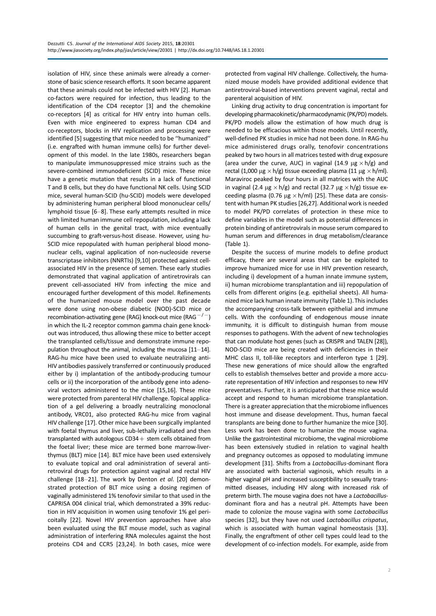isolation of HIV, since these animals were already a cornerstone of basic science research efforts. It soon became apparent [that](http://www.jiasociety.org/index.php/jias/article/view/20301) [these](http://www.jiasociety.org/index.php/jias/article/view/20301) [animals](http://www.jiasociety.org/index.php/jias/article/view/20301) [could](http://www.jiasociety.org/index.php/jias/article/view/20301) [not](http://www.jiasociety.org/index.php/jias/article/view/20301) [be](http://www.jiasociety.org/index.php/jias/article/view/20301) [infected](http://www.jiasociety.org/index.php/jias/article/view/20301) [with](http://www.jiasociety.org/index.php/jias/article/view/20301) [H](http://www.jiasociety.org/index.php/jias/article/view/20301)IV [2]. Human co-factors were required for infection, thus leading to the identification of the CD4 receptor [3] and the chemokine co-receptors [4] as critical for HIV entry into human cells. Even with mice engineered to express human CD4 and co-receptors, blocks in HIV replication and processing were identified [5] suggesting that mice needed to be ''humanized'' (i.e. engrafted with human immune cells) for further development of this model. In the late 1980s, researchers began to manipulate immunosuppressed mice strains such as the severe-combined immunodeficient (SCID) mice. These mice have a genetic mutation that results in a lack of functional T and B cells, but they do have functional NK cells. Using SCID mice, several human-SCID (hu-SCID) models were developed by administering human peripheral blood mononuclear cells/ lymphoid tissue [6-8]. These early attempts resulted in mice with limited human immune cell repopulation, including a lack of human cells in the genital tract, with mice eventually succumbing to graft-versus-host disease. However, using hu-SCID mice repopulated with human peripheral blood mononuclear cells, vaginal application of non-nucleoside reverse transcriptase inhibitors (NNRTIs) [9,10] protected against cellassociated HIV in the presence of semen. These early studies demonstrated that vaginal application of antiretrovirals can prevent cell-associated HIV from infecting the mice and encouraged further development of this model. Refinements of the humanized mouse model over the past decade were done using non-obese diabetic (NOD)-SCID mice or recombination-activating gene (RAG) knock-out mice (RAG<sup>-/-</sup>) in which the IL-2 receptor common gamma chain gene knockout was introduced, thus allowing these mice to better accept the transplanted cells/tissue and demonstrate immune repopulation throughout the animal, including the mucosa [11-14]. RAG-hu mice have been used to evaluate neutralizing anti-HIV antibodies passively transferred or continuously produced either by i) implantation of the antibody-producing tumour cells or ii) the incorporation of the antibody gene into adenoviral vectors administered to the mice [15,16]. These mice were protected from parenteral HIV challenge. Topical application of a gel delivering a broadly neutralizing monoclonal antibody, VRC01, also protected RAG-hu mice from vaginal HIV challenge [17]. Other mice have been surgically implanted with foetal thymus and liver, sub-lethally irradiated and then transplanted with autologous  $CD34 +$  stem cells obtained from the foetal liver; these mice are termed bone marrow-liverthymus (BLT) mice [14]. BLT mice have been used extensively to evaluate topical and oral administration of several antiretroviral drugs for protection against vaginal and rectal HIV challenge [18-21]. The work by Denton et al. [20] demonstrated protection of BLT mice using a dosing regimen of vaginally administered 1% tenofovir similar to that used in the CAPRISA 004 clinical trial, which demonstrated a 39% reduction in HIV acquisition in women using tenofovir 1% gel pericoitally [22]. Novel HIV prevention approaches have also been evaluated using the BLT mouse model, such as vaginal administration of interfering RNA molecules against the host proteins CD4 and CCR5 [23,24]. In both cases, mice were

protected from vaginal HIV challenge. Collectively, the humanized mouse models have provided additional evidence that [antiretroviral-b](http://dx.doi.org/10.7448/IAS.18.1.20301)ased interventions prevent vaginal, rectal and parenteral acquisition of HIV.

Linking drug activity to drug concentration is important for developing pharmacokinetic/pharmacodynamic (PK/PD) models. PK/PD models allow the estimation of how much drug is needed to be efficacious within those models. Until recently, well-defined PK studies in mice had not been done. In RAG-hu mice administered drugs orally, tenofovir concentrations peaked by two hours in all matrices tested with drug exposure (area under the curve, AUC) in vaginal (14.9  $\mu$ g × h/g) and rectal (1,000  $\mu$ g × h/g) tissue exceeding plasma (11  $\mu$ g × h/ml). Maraviroc peaked by four hours in all matrices with the AUC in vaginal (2.4  $\mu$ g × h/g) and rectal (32.7  $\mu$ g × h/g) tissue exceeding plasma (0.76  $\mu$ g × h/ml) [25]. These data are consistent with human PK studies [26,27]. Additional work is needed to model PK/PD correlates of protection in these mice to define variables in the model such as potential differences in protein binding of antiretrovirals in mouse serum compared to human serum and differences in drug metabolism/clearance (Table 1).

Despite the success of murine models to define product efficacy, there are several areas that can be exploited to improve humanized mice for use in HIV prevention research, including i) development of a human innate immune system, ii) human microbiome transplantation and iii) repopulation of cells from different origins (e.g. epithelial sheets). All humanized mice lack human innate immunity (Table 1).This includes the accompanying cross-talk between epithelial and immune cells. With the confounding of endogenous mouse innate immunity, it is difficult to distinguish human from mouse responses to pathogens. With the advent of new technologies that can modulate host genes (such as CRISPR and TALEN [28]), NOD-SCID mice are being created with deficiencies in their MHC class II, toll-like receptors and interferon type 1 [29]. These new generations of mice should allow the engrafted cells to establish themselves better and provide a more accurate representation of HIV infection and responses to new HIV preventatives. Further, it is anticipated that these mice would accept and respond to human microbiome transplantation. There is a greater appreciation that the microbiome influences host immune and disease development. Thus, human faecal transplants are being done to further humanize the mice [30]. Less work has been done to humanize the mouse vagina. Unlike the gastrointestinal microbiome, the vaginal microbiome has been extensively studied in relation to vaginal health and pregnancy outcomes as opposed to modulating immune development [31]. Shifts from a Lactobacillus-dominant flora are associated with bacterial vaginosis, which results in a higher vaginal pH and increased susceptibility to sexually transmitted diseases, including HIV along with increased risk of preterm birth. The mouse vagina does not have a Lactobacillusdominant flora and has a neutral pH. Attempts have been made to colonize the mouse vagina with some Lactobacillus species [32], but they have not used Lactobacillus crispatus, which is associated with human vaginal homeostasis [33]. Finally, the engraftment of other cell types could lead to the development of co-infection models. For example, aside from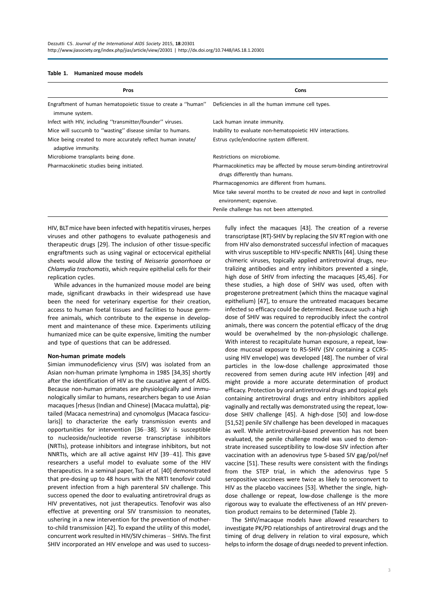# Table 1. Humanized mouse models

| <b>Pros</b>                                                                       | Cons                                                                                                     |
|-----------------------------------------------------------------------------------|----------------------------------------------------------------------------------------------------------|
| Engraftment of human hematopoietic tissue to create a "human"<br>immune system.   | Deficiencies in all the human immune cell types.                                                         |
| Infect with HIV, including "transmitter/founder" viruses.                         | Lack human innate immunity.                                                                              |
| Mice will succumb to "wasting" disease similar to humans.                         | Inability to evaluate non-hematopoietic HIV interactions.                                                |
| Mice being created to more accurately reflect human innate/<br>adaptive immunity. | Estrus cycle/endocrine system different.                                                                 |
| Microbiome transplants being done.                                                | Restrictions on microbiome.                                                                              |
| Pharmacokinetic studies being initiated.                                          | Pharmacokinetics may be affected by mouse serum-binding antiretroviral<br>drugs differently than humans. |
|                                                                                   | Pharmacogenomics are different from humans.                                                              |
|                                                                                   | Mice take several months to be created <i>de novo</i> and kept in controlled<br>environment; expensive.  |
|                                                                                   | Penile challenge has not been attempted.                                                                 |

HIV, BLT mice have been infected with hepatitis viruses, herpes viruses and other pathogens to evaluate pathogenesis and therapeutic drugs [29]. The inclusion of other tissue-specific engraftments such as using vaginal or ectocervical epithelial sheets would allow the testing of Neisseria gonorrhoea or Chlamydia trachomatis, which require epithelial cells for their replication cycles.

While advances in the humanized mouse model are being made, significant drawbacks in their widespread use have been the need for veterinary expertise for their creation, access to human foetal tissues and facilities to house germfree animals, which contribute to the expense in development and maintenance of these mice. Experiments utilizing humanized mice can be quite expensive, limiting the number and type of questions that can be addressed.

#### Non-human primate models

Simian immunodeficiency virus (SIV) was isolated from an Asian non-human primate lymphoma in 1985 [34,35] shortly after the identification of HIV as the causative agent of AIDS. Because non-human primates are physiologically and immunologically similar to humans, researchers began to use Asian macaques [rhesus (Indian and Chinese) (Macaca mulatta), pigtailed (Macaca nemestrina) and cynomolgus (Macaca fascicularis)] to characterize the early transmission events and opportunities for intervention [36-38]. SIV is susceptible to nucleoside/nucleotide reverse transcriptase inhibitors (NRTIs), protease inhibitors and integrase inhibitors, but not NNRTIs, which are all active against HIV [39-41]. This gave researchers a useful model to evaluate some of the HIV therapeutics. In a seminal paper, Tsai et al. [40] demonstrated that pre-dosing up to 48 hours with the NRTI tenofovir could prevent infection from a high parenteral SIV challenge. This success opened the door to evaluating antiretroviral drugs as HIV preventatives, not just therapeutics. Tenofovir was also effective at preventing oral SIV transmission to neonates, ushering in a new intervention for the prevention of motherto-child transmission [42]. To expand the utility of this model, concurrent work resulted in HIV/SIV chimeras - SHIVs. The first SHIV incorporated an HIV envelope and was used to success-

fully infect the macaques [43]. The creation of a reverse transcriptase (RT)-SHIV by replacing the SIV RT region with one from HIV also demonstrated successful infection of macaques with virus susceptible to HIV-specific NNRTIs [44]. Using these chimeric viruses, topically applied antiretroviral drugs, neutralizing antibodies and entry inhibitors prevented a single, high dose of SHIV from infecting the macaques [45,46]. For these studies, a high dose of SHIV was used, often with progesterone pretreatment (which thins the macaque vaginal epithelium) [47], to ensure the untreated macaques became infected so efficacy could be determined. Because such a high dose of SHIV was required to reproducibly infect the control animals, there was concern the potential efficacy of the drug would be overwhelmed by the non-physiologic challenge. With interest to recapitulate human exposure, a repeat, lowdose mucosal exposure to R5-SHIV (SIV containing a CCR5 using HIV envelope) was developed [48]. The number of viral particles in the low-dose challenge approximated those recovered from semen during acute HIV infection [49] and might provide a more accurate determination of product efficacy. Protection by oral antiretroviral drugs and topical gels containing antiretroviral drugs and entry inhibitors applied vaginally and rectally was demonstrated using the repeat, lowdose SHIV challenge [45]. A high-dose [50] and low-dose [51,52] penile SIV challenge has been developed in macaques as well. While antiretroviral-based prevention has not been evaluated, the penile challenge model was used to demonstrate increased susceptibility to low-dose SIV infection after vaccination with an adenovirus type 5-based SIV gag/pol/nef vaccine [51]. These results were consistent with the findings from the STEP trial, in which the adenovirus type 5 seropositive vaccinees were twice as likely to seroconvert to HIV as the placebo vaccinees [53]. Whether the single, highdose challenge or repeat, low-dose challenge is the more rigorous way to evaluate the effectiveness of an HIV prevention product remains to be determined (Table 2).

The SHIV/macaque models have allowed researchers to investigate PK/PD relationships of antiretroviral drugs and the timing of drug delivery in relation to viral exposure, which helps to inform the dosage of drugs needed to prevent infection.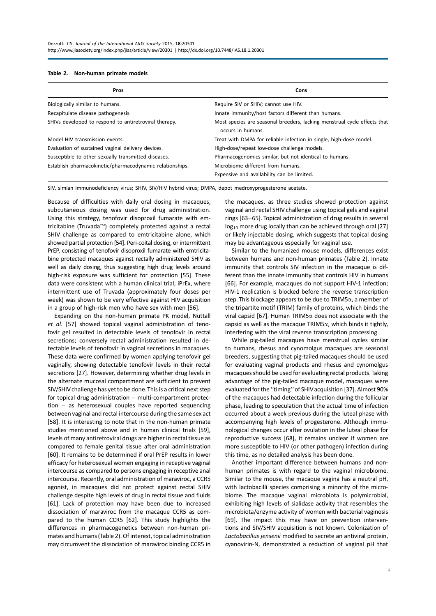# Table 2. Non-human primate models

| <b>Pros</b>                                              | Cons                                                                                          |
|----------------------------------------------------------|-----------------------------------------------------------------------------------------------|
| Biologically similar to humans.                          | Require SIV or SHIV; cannot use HIV.                                                          |
| Recapitulate disease pathogenesis.                       | Innate immunity/host factors different than humans.                                           |
| SHIVs developed to respond to antiretroviral therapy.    | Most species are seasonal breeders, lacking menstrual cycle effects that<br>occurs in humans. |
| Model HIV transmission events.                           | Treat with DMPA for reliable infection in single, high-dose model.                            |
| Evaluation of sustained vaginal delivery devices.        | High-dose/repeat low-dose challenge models.                                                   |
| Susceptible to other sexually transmitted diseases.      | Pharmacogenomics similar, but not identical to humans.                                        |
| Establish pharmacokinetic/pharmacodynamic relationships. | Microbiome different from humans.                                                             |
|                                                          | Expensive and availability can be limited.                                                    |

SIV, simian immunodeficiency virus; SHIV, SIV/HIV hybrid virus; DMPA, depot medroxyprogesterone acetate.

Because of difficulties with daily oral dosing in macaques, subcutaneous dosing was used for drug administration. Using this strategy, tenofovir disoproxil fumarate with emtricitabine (Truvada™) completely protected against a rectal SHIV challenge as compared to emtricitabine alone, which showed partial protection [54]. Peri-coital dosing, or intermittent PrEP, consisting of tenofovir disoproxil fumarate with emtricitabine protected macaques against rectally administered SHIV as well as daily dosing, thus suggesting high drug levels around high-risk exposure was sufficient for protection [55]. These data were consistent with a human clinical trial, iPrEx, where intermittent use of Truvada (approximately four doses per week) was shown to be very effective against HIV acquisition in a group of high-risk men who have sex with men [56].

Expanding on the non-human primate PK model, Nuttall et al. [57] showed topical vaginal administration of tenofovir gel resulted in detectable levels of tenofovir in rectal secretions; conversely rectal administration resulted in detectable levels of tenofovir in vaginal secretions in macaques. These data were confirmed by women applying tenofovir gel vaginally, showing detectable tenofovir levels in their rectal secretions [27]. However, determining whether drug levels in the alternate mucosal compartment are sufficient to prevent SIV/SHIV challenge has yet to be done.This is a critical next step for topical drug administration - multi-compartment protection - as heterosexual couples have reported sequencing between vaginal and rectal intercourse during the same sex act [58]. It is interesting to note that in the non-human primate studies mentioned above and in human clinical trials [59], levels of many antiretroviral drugs are higher in rectal tissue as compared to female genital tissue after oral administration [60]. It remains to be determined if oral PrEP results in lower efficacy for heterosexual women engaging in receptive vaginal intercourse as compared to persons engaging in receptive anal intercourse. Recently, oral administration of maraviroc, a CCR5 agonist, in macaques did not protect against rectal SHIV challenge despite high levels of drug in rectal tissue and fluids [61]. Lack of protection may have been due to increased dissociation of maraviroc from the macaque CCR5 as compared to the human CCR5 [62]. This study highlights the differences in pharmacogenetics between non-human primates and humans (Table 2). Of interest, topical administration may circumvent the dissociation of maraviroc binding CCR5 in

the macaques, as three studies showed protection against vaginal and rectal SHIV challenge using topical gels and vaginal rings [63-65]. Topical administration of drug results in several  $log_{10}$  more drug locally than can be achieved through oral [27] or likely injectable dosing, which suggests that topical dosing may be advantageous especially for vaginal use.

Similar to the humanized mouse models, differences exist between humans and non-human primates (Table 2). Innate immunity that controls SIV infection in the macaque is different than the innate immunity that controls HIV in humans [66]. For example, macaques do not support HIV-1 infection; HIV-1 replication is blocked before the reverse transcription step. This blockage appears to be due to  $TRIM5\alpha$ , a member of the tripartite motif (TRIM) family of proteins, which binds the viral capsid [67]. Human TRIM5 $\alpha$  does not associate with the capsid as well as the macaque TRIM5 $\alpha$ , which binds it tightly, interfering with the viral reverse transcription processing.

While pig-tailed macaques have menstrual cycles similar to humans, rhesus and cynomolgus macaques are seasonal breeders, suggesting that pig-tailed macaques should be used for evaluating vaginal products and rhesus and cynomolgus macaques should be used for evaluating rectal products.Taking advantage of the pig-tailed macaque model, macaques were evaluated for the ''timing''of SHIVacquisition [37]. Almost 90% of the macaques had detectable infection during the follicular phase, leading to speculation that the actual time of infection occurred about a week previous during the luteal phase with accompanying high levels of progesterone. Although immunological changes occur after ovulation in the luteal phase for reproductive success [68], it remains unclear if women are more susceptible to HIV (or other pathogen) infection during this time, as no detailed analysis has been done.

Another important difference between humans and nonhuman primates is with regard to the vaginal microbiome. Similar to the mouse, the macaque vagina has a neutral pH, with lactobacilli species comprising a minority of the microbiome. The macaque vaginal microbiota is polymicrobial, exhibiting high levels of sialidase activity that resembles the microbiota/enzyme activity of women with bacterial vaginosis [69]. The impact this may have on prevention interventions and SIV/SHIV acquisition is not known. Colonization of Lactobacillus jensenii modified to secrete an antiviral protein, cyanovirin-N, demonstrated a reduction of vaginal pH that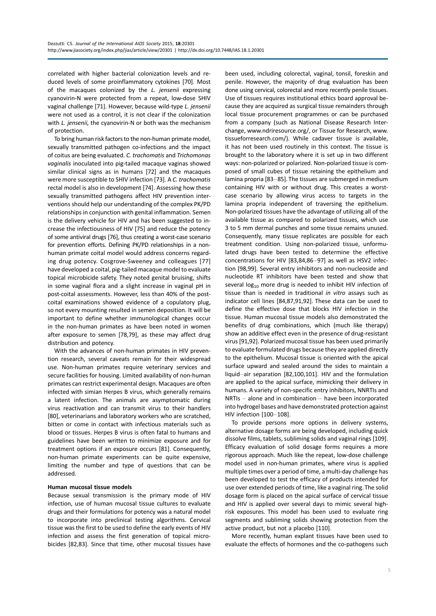correlated with higher bacterial colonization levels and reduced levels of some proinflammatory cytokines [70]. Most [of](http://www.jiasociety.org/index.php/jias/article/view/20301) [the](http://www.jiasociety.org/index.php/jias/article/view/20301) [macaques](http://www.jiasociety.org/index.php/jias/article/view/20301) [colonized](http://www.jiasociety.org/index.php/jias/article/view/20301) [by](http://www.jiasociety.org/index.php/jias/article/view/20301) the L. jensenii expressing cyanovirin-N were protected from a repeat, low-dose SHIV vaginal challenge [71]. However, because wild-type L. jensenii were not used as a control, it is not clear if the colonization with L. jensenii, the cyanovirin-N or both was the mechanism of protection.

To bring human risk factors to the non-human primate model, sexually transmitted pathogen co-infections and the impact of coitus are being evaluated. C. trachomatis and Trichomonas vaginalis inoculated into pig-tailed macaque vaginas showed similar clinical signs as in humans [72] and the macaques were more susceptible to SHIV infection [73]. A C. trachomatis rectal model is also in development [74]. Assessing how these sexually transmitted pathogens affect HIV prevention interventions should help our understanding of the complex PK/PD relationships in conjunction with genital inflammation. Semen is the delivery vehicle for HIV and has been suggested to increase the infectiousness of HIV [75] and reduce the potency of some antiviral drugs [76], thus creating a worst-case scenario for prevention efforts. Defining PK/PD relationships in a nonhuman primate coital model would address concerns regarding drug potency. Cosgrove-Sweeney and colleagues [77] have developed a coital, pig-tailed macaque model to evaluate topical microbicide safety. They noted genital bruising, shifts in some vaginal flora and a slight increase in vaginal pH in post-coital assessments. However, less than 40% of the postcoital examinations showed evidence of a copulatory plug, so not every mounting resulted in semen deposition. It will be important to define whether immunological changes occur in the non-human primates as have been noted in women after exposure to semen [78,79], as these may affect drug distribution and potency.

With the advances of non-human primates in HIV prevention research, several caveats remain for their widespread use. Non-human primates require veterinary services and secure facilities for housing. Limited availability of non-human primates can restrict experimental design. Macaques are often infected with simian Herpes B virus, which generally remains a latent infection. The animals are asymptomatic during virus reactivation and can transmit virus to their handlers [80], veterinarians and laboratory workers who are scratched, bitten or come in contact with infectious materials such as blood or tissues. Herpes B virus is often fatal to humans and guidelines have been written to minimize exposure and for treatment options if an exposure occurs [81]. Consequently, non-human primate experiments can be quite expensive, limiting the number and type of questions that can be addressed.

# Human mucosal tissue models

Because sexual transmission is the primary mode of HIV infection, use of human mucosal tissue cultures to evaluate drugs and their formulations for potency was a natural model to incorporate into preclinical testing algorithms. Cervical tissue was the first to be used to define the early events of HIV infection and assess the first generation of topical microbicides [82,83]. Since that time, other mucosal tissues have

been used, including colorectal, vaginal, tonsil, foreskin and penile. However, the majority of drug evaluation has been [done](http://dx.doi.org/10.7448/IAS.18.1.20301) [using](http://dx.doi.org/10.7448/IAS.18.1.20301) [cerv](http://dx.doi.org/10.7448/IAS.18.1.20301)ical, colorectal and more recently penile tissues. Use of tissues requires institutional ethics board approval because they are acquired as surgical tissue remainders through local tissue procurement programmes or can be purchased from a company (such as National Disease Research Interchange, www.ndriresource.org/, or Tissue for Research, www. tissueforresearch.com/). While cadaver tissue is available, it has not been used routinely in this context. The tissue is brought to the laboratory where it is set up in two different ways: non-polarized or polarized. Non-polarized tissue is composed o[f](http://www.ndriresource.org/) [small](http://www.ndriresource.org/) [cubes](http://www.ndriresource.org/) [of](http://www.ndriresource.org/) [tissue](http://www.ndriresource.org/) retaining the epitheliu[m](http://www.tissueforresearch.com/) [and](http://www.tissueforresearch.com/) [lamina](http://www.tissueforresearch.com/) [propria](http://www.tissueforresearch.com/) [\[83](http://www.tissueforresearch.com/)-85]. The tissues are submerged in medium containing HIV with or without drug. This creates a worstcase scenario by allowing virus access to targets in the lamina propria independent of traversing the epithelium. Non-polarized tissues have the advantage of utilizing all of the available tissue as compared to polarized tissues, which use 3 to 5 mm dermal punches and some tissue remains unused. Consequently, many tissue replicates are possible for each treatment condition. Using non-polarized tissue, unformulated drugs have been tested to determine the effective concentrations for HIV [83,84,86-97] as well as HSV2 infection [98,99]. Several entry inhibitors and non-nucleoside and nucleotide RT inhibitors have been tested and show that several  $log<sub>10</sub>$  more drug is needed to inhibit HIV infection of tissue than is needed in traditional in vitro assays such as indicator cell lines [84,87,91,92]. These data can be used to define the effective dose that blocks HIV infection in the tissue. Human mucosal tissue models also demonstrated the benefits of drug combinations, which (much like therapy) show an additive effect even in the presence of drug-resistant virus [91,92]. Polarized mucosal tissue has been used primarily to evaluate formulated drugs because they are applied directly to the epithelium. Mucosal tissue is oriented with the apical surface upward and sealed around the sides to maintain a liquid-air separation [82,100,101]. HIV and the formulation are applied to the apical surface, mimicking their delivery in humans. A variety of non-specific entry inhibitors, NNRTIs and NRTIs - alone and in combination - have been incorporated into hydrogel bases and have demonstrated protection against HIV infection [100-108].

To provide persons more options in delivery systems, alternative dosage forms are being developed, including quick dissolve films, tablets, subliming solids and vaginal rings [109]. Efficacy evaluation of solid dosage forms requires a more rigorous approach. Much like the repeat, low-dose challenge model used in non-human primates, where virus is applied multiple times over a period of time, a multi-day challenge has been developed to test the efficacy of products intended for use over extended periods of time, like a vaginal ring. The solid dosage form is placed on the apical surface of cervical tissue and HIV is applied over several days to mimic several highrisk exposures. This model has been used to evaluate ring segments and subliming solids showing protection from the active product, but not a placebo [110].

More recently, human explant tissues have been used to evaluate the effects of hormones and the co-pathogens such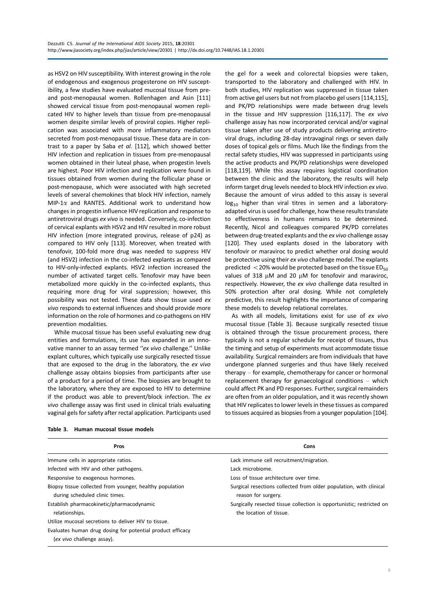as HSV2 on HIV susceptibility. With interest growing in the role of endogenous and exogenous progesterone on HIV suscept[ibility,](http://www.jiasociety.org/index.php/jias/article/view/20301) [a](http://www.jiasociety.org/index.php/jias/article/view/20301) [few](http://www.jiasociety.org/index.php/jias/article/view/20301) [studies](http://www.jiasociety.org/index.php/jias/article/view/20301) [have](http://www.jiasociety.org/index.php/jias/article/view/20301) [evaluated](http://www.jiasociety.org/index.php/jias/article/view/20301) [mucosal](http://www.jiasociety.org/index.php/jias/article/view/20301) [tis](http://www.jiasociety.org/index.php/jias/article/view/20301)sue from preand post-menopausal women. Rollenhagen and Asin [111] showed cervical tissue from post-menopausal women replicated HIV to higher levels than tissue from pre-menopausal women despite similar levels of proviral copies. Higher replication was associated with more inflammatory mediators secreted from post-menopausal tissue. These data are in contrast to a paper by Saba et al. [112], which showed better HIV infection and replication in tissues from pre-menopausal women obtained in their luteal phase, when progestin levels are highest. Poor HIV infection and replication were found in tissues obtained from women during the follicular phase or post-menopause, which were associated with high secreted levels of several chemokines that block HIV infection, namely  $MIP-1\alpha$  and RANTES. Additional work to understand how changes in progestin influence HIV replication and response to antiretroviral drugs ex vivo is needed. Conversely, co-infection of cervical explants with HSV2 and HIV resulted in more robust HIV infection (more integrated provirus, release of p24) as compared to HIV only [113]. Moreover, when treated with tenofovir, 100-fold more drug was needed to suppress HIV (and HSV2) infection in the co-infected explants as compared to HIV-only-infected explants. HSV2 infection increased the number of activated target cells. Tenofovir may have been metabolized more quickly in the co-infected explants, thus requiring more drug for viral suppression; however, this possibility was not tested. These data show tissue used ex vivo responds to external influences and should provide more information on the role of hormones and co-pathogens on HIV prevention modalities.

While mucosal tissue has been useful evaluating new drug entities and formulations, its use has expanded in an innovative manner to an assay termed "ex vivo challenge." Unlike explant cultures, which typically use surgically resected tissue that are exposed to the drug in the laboratory, the ex vivo challenge assay obtains biopsies from participants after use of a product for a period of time. The biopsies are brought to the laboratory, where they are exposed to HIV to determine if the product was able to prevent/block infection. The ex vivo challenge assay was first used in clinical trials evaluating vaginal gels for safety after rectal application. Participants used

the gel for a week and colorectal biopsies were taken, transported to the laboratory and challenged with HIV. In [both](http://dx.doi.org/10.7448/IAS.18.1.20301) [studies,](http://dx.doi.org/10.7448/IAS.18.1.20301) [H](http://dx.doi.org/10.7448/IAS.18.1.20301)IV replication was suppressed in tissue taken from active gel users but not from placebo gel users [114,115], and PK/PD relationships were made between drug levels in the tissue and HIV suppression [116,117]. The ex vivo challenge assay has now incorporated cervical and/or vaginal tissue taken after use of study products delivering antiretroviral drugs, including 28-day intravaginal rings or seven daily doses of topical gels or films. Much like the findings from the rectal safety studies, HIV was suppressed in participants using the active products and PK/PD relationships were developed [118,119]. While this assay requires logistical coordination between the clinic and the laboratory, the results will help inform target drug levels needed to block HIV infection ex vivo. Because the amount of virus added to this assay is several  $log_{10}$  higher than viral titres in semen and a laboratoryadapted virus is used for challenge, how these results translate to effectiveness in humans remains to be determined. Recently, Nicol and colleagues compared PK/PD correlates between drug-treated explants and the ex vivo challenge assay [120]. They used explants dosed in the laboratory with tenofovir or maraviroc to predict whether oral dosing would be protective using their ex vivo challenge model. The explants predicted  $<$  20% would be protected based on the tissue ED<sub>50</sub> values of 318  $\mu$ M and 20  $\mu$ M for tenofovir and maraviroc, respectively. However, the ex vivo challenge data resulted in 50% protection after oral dosing. While not completely predictive, this result highlights the importance of comparing these models to develop relational correlates.

As with all models, limitations exist for use of ex vivo mucosal tissue (Table 3). Because surgically resected tissue is obtained through the tissue procurement process, there typically is not a regular schedule for receipt of tissues, thus the timing and setup of experiments must accommodate tissue availability. Surgical remainders are from individuals that have undergone planned surgeries and thus have likely received therapy - for example, chemotherapy for cancer or hormonal replacement therapy for gynaecological conditions - which could affect PK and PD responses. Further, surgical remainders are often from an older population, and it was recently shown that HIV replicates to lower levels in these tissues as compared to tissues acquired as biopsies from a younger population [104].

| Table 3. Human mucosal tissue models |  |  |
|--------------------------------------|--|--|
|                                      |  |  |

| <b>Pros</b>                                                | Cons                                                                  |
|------------------------------------------------------------|-----------------------------------------------------------------------|
| Immune cells in appropriate ratios.                        | Lack immune cell recruitment/migration.                               |
| Infected with HIV and other pathogens.                     | Lack microbiome.                                                      |
| Responsive to exogenous hormones.                          | Loss of tissue architecture over time.                                |
| Biopsy tissue collected from younger, healthy population   | Surgical resections collected from older population, with clinical    |
| during scheduled clinic times.                             | reason for surgery.                                                   |
| Establish pharmacokinetic/pharmacodynamic                  | Surgically resected tissue collection is opportunistic; restricted on |
| relationships.                                             | the location of tissue.                                               |
| Utilize mucosal secretions to deliver HIV to tissue.       |                                                                       |
| Evaluates human drug dosing for potential product efficacy |                                                                       |
| (ex vivo challenge assay).                                 |                                                                       |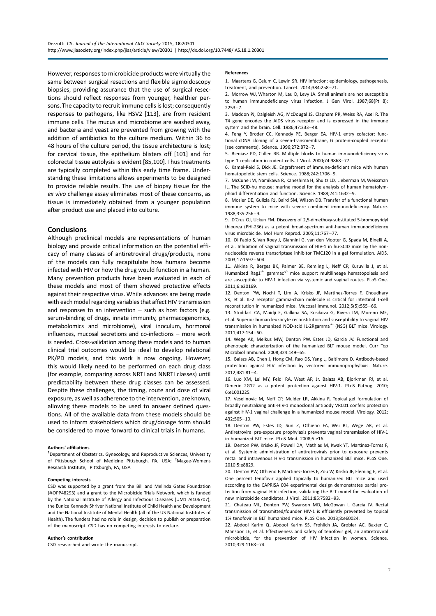However, responses to microbicide products were virtually the same between surgical resections and flexible sigmoidoscopy [biopsies,](http://www.jiasociety.org/index.php/jias/article/view/20301) [providing](http://www.jiasociety.org/index.php/jias/article/view/20301) [assurance](http://www.jiasociety.org/index.php/jias/article/view/20301) [that](http://www.jiasociety.org/index.php/jias/article/view/20301) [the](http://www.jiasociety.org/index.php/jias/article/view/20301) [use](http://www.jiasociety.org/index.php/jias/article/view/20301) [of](http://www.jiasociety.org/index.php/jias/article/view/20301) [s](http://www.jiasociety.org/index.php/jias/article/view/20301)urgical resections should reflect responses from younger, healthier persons.The capacity to recruit immune cells is lost; consequently responses to pathogens, like HSV2 [113], are from resident immune cells. The mucus and microbiome are washed away, and bacteria and yeast are prevented from growing with the addition of antibiotics to the culture medium. Within 36 to 48 hours of the culture period, the tissue architecture is lost; for cervical tissue, the epithelium blisters off [101] and for colorectal tissue autolysis is evident [85,100]. Thus treatments are typically completed within this early time frame. Understanding these limitations allows experiments to be designed to provide reliable results. The use of biopsy tissue for the ex vivo challenge assay eliminates most of these concerns, as tissue is immediately obtained from a younger population after product use and placed into culture.

# **Conclusions**

Although preclinical models are representations of human biology and provide critical information on the potential efficacy of many classes of antiretroviral drugs/products, none of the models can fully recapitulate how humans become infected with HIV or how the drug would function in a human. Many prevention products have been evaluated in each of these models and most of them showed protective effects against their respective virus. While advances are being made with each model regarding variables that affect HIV transmission and responses to an intervention  $-$  such as host factors (e.g. serum-binding of drugs, innate immunity, pharmacogenomics, metabolomics and microbiome), viral inoculum, hormonal influences, mucosal secretions and co-infections - more work is needed. Cross-validation among these models and to human clinical trial outcomes would be ideal to develop relational PK/PD models, and this work is now ongoing. However, this would likely need to be performed on each drug class (for example, comparing across NRTI and NNRTI classes) until predictability between these drug classes can be assessed. Despite these challenges, the timing, route and dose of viral exposure, as well as adherence to the intervention, are known, allowing these models to be used to answer defined questions. All of the available data from these models should be used to inform stakeholders which drug/dosage form should be considered to move forward to clinical trials in humans.

#### Authors' affiliations

<sup>1</sup>Department of Obstetrics, Gynecology, and Reproductive Sciences, University of Pittsburgh School of Medicine Pittsburgh, PA, USA; <sup>2</sup>Magee-Womens Research Institute, Pittsburgh, PA, USA

#### Competing interests

CSD was supported by a grant from the Bill and Melinda Gates Foundation (#OPP48293) and a grant to the Microbicide Trials Network, which is funded by the National Institute of Allergy and Infectious Diseases (UM1 AI106707), the Eunice Kennedy Shriver National Institute of Child Health and Development and the National Institute of Mental Health (all of the US National Institutes of Health). The funders had no role in design, decision to publish or preparation of the manuscript. CSD has no competing interests to declare.

#### Author's contribution

CSD researched and wrote the manuscript.

#### References

1. Maartens G, Celum C, Lewin SR. HIV infection: epidemiology, pathogenesis, [treatment, and pre](http://dx.doi.org/10.7448/IAS.18.1.20301)vention. Lancet. 2014;384:258-71.

2. Morrow WJ, Wharton M, Lau D, Levy JA. Small animals are not susceptible to human immunodeficiency virus infection. J Gen Virol. 1987;68(Pt 8): 2253-7.

3. Maddon PJ, Dalgleish AG, McDougal JS, Clapham PR, Weiss RA, Axel R. The T4 gene encodes the AIDS virus receptor and is expressed in the immune system and the brain. Cell. 1986;47:333-48.

4. Feng Y, Broder CC, Kennedy PE, Berger EA. HIV-1 entry cofactor: functional cDNA cloning of a seven-transmembrane, G protein-coupled receptor [see comments]. Science. 1996;272:872-7.

5. Bieniasz PD, Cullen BR. Multiple blocks to human immunodeficiency virus type 1 replication in rodent cells. J Virol. 2000;74:9868-77.

6. Kamel-Reid S, Dick JE. Engraftment of immune-deficient mice with human hematopoietic stem cells. Science. 1988;242:1706-9.

7. McCune JM, Namikawa R, Kaneshima H, Shultz LD, Lieberman M, Weissman IL. The SCID-hu mouse: murine model for the analysis of human hematolymphoid differentiation and function. Science. 1988;241:1632-9.

8. Mosier DE, Gulizia RJ, Baird SM, Wilson DB. Transfer of a functional human immune system to mice with severe combined immunodeficiency. Nature. 1988;335:256-9.

9. D'Cruz OJ, Uckun FM. Discovery of 2,5-dimethoxy-substituted 5-bromopyridyl thiourea (PHI-236) as a potent broad-spectrum anti-human immunodeficiency virus microbicide. Mol Hum Reprod. 2005;11:767-77.

10. Di Fabio S, Van Roey J, Giannini G, van den Mooter G, Spada M, Binelli A, et al. Inhibition of vaginal transmission of HIV-1 in hu-SCID mice by the nonnucleoside reverse transcriptase inhibitor TMC120 in a gel formulation. AIDS. 2003;17:1597-604.

11. Akkina R, Berges BK, Palmer BE, Remling L, Neff CP, Kuruvilla J, et al. Humanized Rag1 $^{-/-}$  gammac $^{-/-}$  mice support multilineage hematopoiesis and are susceptible to HIV-1 infection via systemic and vaginal routes. PLoS One. 2011;6:e20169.

12. Denton PW, Nochi T, Lim A, Krisko JF, Martinez-Torres F, Choudhary SK, et al. IL-2 receptor gamma-chain molecule is critical for intestinal T-cell reconstitution in humanized mice. Mucosal Immunol. 2012;5(5):555-66.

13. Stoddart CA, Maidji E, Galkina SA, Kosikova G, Rivera JM, Moreno ME, et al. Superior human leukocyte reconstitution and susceptibility to vaginal HIV transmission in humanized NOD-scid IL-2Rgamma<sup>-/-</sup> (NSG) BLT mice. Virology. 2011;417:154-60.

14. Wege AK, Melkus MW, Denton PW, Estes JD, Garcia JV. Functional and phenotypic characterization of the humanized BLT mouse model. Curr Top Microbiol Immunol. 2008;324:149-65.

15. Balazs AB, Chen J, Hong CM, Rao DS, Yang L, Baltimore D. Antibody-based protection against HIV infection by vectored immunoprophylaxis. Nature. 2012;481:81-4.

16. Luo XM, Lei MY, Feidi RA, West AP, Jr, Balazs AB, Bjorkman PJ, et al. Dimeric 2G12 as a potent protection against HIV-1. PLoS Pathog. 2010; 6:e1001225.

17. Veselinovic M, Neff CP, Mulder LR, Akkina R. Topical gel formulation of broadly neutralizing anti-HIV-1 monoclonal antibody VRC01 confers protection against HIV-1 vaginal challenge in a humanized mouse model. Virology. 2012; 432:505-10.

18. Denton PW, Estes JD, Sun Z, Othieno FA, Wei BL, Wege AK, et al. Antiretroviral pre-exposure prophylaxis prevents vaginal transmission of HIV-1 in humanized BLT mice. PLoS Med. 2008;5:e16.

19. Denton PW, Krisko JF, Powell DA, Mathias M, Kwak YT, Martinez-Torres F, et al. Systemic administration of antiretrovirals prior to exposure prevents rectal and intravenous HIV-1 transmission in humanized BLT mice. PLoS One. 2010;5:e8829.

20. Denton PW, Othieno F, Martinez-Torres F, Zou W, Krisko JF, Fleming E, et al. One percent tenofovir applied topically to humanized BLT mice and used according to the CAPRISA 004 experimental design demonstrates partial protection from vaginal HIV infection, validating the BLT model for evaluation of new microbicide candidates. J Virol. 2011;85:7582-93.

21. Chateau ML, Denton PW, Swanson MD, McGowan I, Garcia JV. Rectal transmission of transmitted/founder HIV-1 is efficiently prevented by topical 1% tenofovir in BLT humanized mice. PLoS One. 2013;8:e60024.

22. Abdool Karim Q, Abdool Karim SS, Frohlich JA, Grobler AC, Baxter C, Mansoor LE, et al. Effectiveness and safety of tenofovir gel, an antiretroviral microbicide, for the prevention of HIV infection in women. Science. 2010;329:1168-74.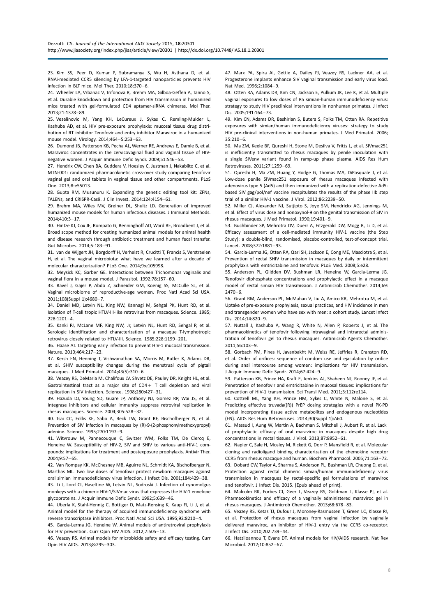23. Kim SS, Peer D, Kumar P, Subramanya S, Wu H, Asthana D, et al. RNAi-mediated CCR5 silencing by LFA-1-targeted nanoparticles prevents HIV [infection in BLT mice. Mol Ther. 2010;18:370](http://www.jiasociety.org/index.php/jias/article/view/20301)-6.

24. Wheeler LA, Vrbanac V, Trifonova R, Brehm MA, Gilboa-Geffen A, Tanno S, et al. Durable knockdown and protection from HIV transmission in humanized mice treated with gel-formulated CD4 aptamer-siRNA chimeras. Mol Ther. 2013;21:1378-89.

25. Veselinovic M, Yang KH, LeCureux J, Sykes C, Remling-Mulder L, Kashuba AD, et al. HIV pre-exposure prophylaxis: mucosal tissue drug distribution of RT inhibitor Tenofovir and entry inhibitor Maraviroc in a humanized mouse model. Virology. 2014;464-5:253-63.

26. Dumond JB, Patterson KB, Pecha AL, Werner RE, Andrews E, Damle B, et al. Maraviroc concentrates in the cervicovaginal fluid and vaginal tissue of HIVnegative women. J Acquir Immune Defic Syndr. 2009;51:546-53.

27. Hendrix CW, Chen BA, Guddera V, Hoesley C, Justman J, Nakabiito C, et al. MTN-001: randomized pharmacokinetic cross-over study comparing tenofovir vaginal gel and oral tablets in vaginal tissue and other compartments. PLoS One. 2013;8:e55013.

28. Gupta RM, Musunuru K. Expanding the genetic editing tool kit: ZFNs, TALENs, and CRISPR-Cas9. J Clin Invest. 2014;124:4154-61.

29. Brehm MA, Wiles MV, Greiner DL, Shultz LD. Generation of improved humanized mouse models for human infectious diseases. J Immunol Methods. 2014;410:3-17.

30. Hintze KJ, Cox JE, Rompato G, Benninghoff AD, Ward RE, Broadbent J, et al. Broad scope method for creating humanized animal models for animal health and disease research through antibiotic treatment and human fecal transfer. Gut Microbes. 2014;5:183-91.

31. van de Wijgert JH, Borgdorff H, Verhelst R, Crucitti T, Francis S, Verstraelen H, et al. The vaginal microbiota: what have we learned after a decade of molecular characterization? PLoS One. 2014;9:e105998.

32. Meysick KC, Garber GE. Interactions between Trichomonas vaginalis and vaginal flora in a mouse model. J Parasitol. 1992;78:157-60.

33. Ravel J, Gajer P, Abdo Z, Schneider GM, Koenig SS, McCulle SL, et al. Vaginal microbiome of reproductive-age women. Proc Natl Acad Sci USA. 2011;108(Suppl 1):4680-7.

34. Daniel MD, Letvin NL, King NW, Kannagi M, Sehgal PK, Hunt RD, et al. Isolation of T-cell tropic HTLV-III-like retrovirus from macaques. Science. 1985; 228:1201-4.

35. Kanki PJ, McLane MF, King NW, Jr, Letvin NL, Hunt RD, Sehgal P, et al. Serologic identification and characterization of a macaque T-lymphotropic retrovirus closely related to HTLV-III. Science. 1985;228:1199-201.

36. Haase AT. Targeting early infection to prevent HIV-1 mucosal transmission. Nature. 2010;464:217-23.

37. Kersh EN, Henning T, Vishwanathan SA, Morris M, Butler K, Adams DR, et al. SHIV susceptibility changes during the menstrual cycle of pigtail macaques. J Med Primatol. 2014;43(5):310-6.

38. Veazey RS, DeMaria M, Chalifoux LV, Shvetz DE, Pauley DR, Knight HL, et al. Gastrointestinal tract as a major site of  $CD4+T$  cell depletion and viral replication in SIV infection. Science. 1998;280:427-31.

39. Hazuda DJ, Young SD, Guare JP, Anthony NJ, Gomez RP, Wai JS, et al. Integrase inhibitors and cellular immunity suppress retroviral replication in rhesus macaques. Science. 2004;305:528-32.

40. Tsai CC, Follis KE, Sabo A, Beck TW, Grant RF, Bischofberger N, et al. Prevention of SIV infection in macaques by (R)-9-(2-phosphonylmethoxypropyl) adenine. Science. 1995;270:1197-9.

41. Witvrouw M, Pannecouque C, Switzer WM, Folks TM, De Clercq E, Heneine W. Susceptibility of HIV-2, SIV and SHIV to various anti-HIV-1 compounds: implications for treatment and postexposure prophylaxis. Antivir Ther. 2004;9:57-65.

42. Van Rompay KK, McChesney MB, Aguirre NL, Schmidt KA, Bischofberger N, Marthas ML. Two low doses of tenofovir protect newborn macaques against oral simian immunodeficiency virus infection. J Infect Dis. 2001;184:429-38. 43. Li J, Lord CI, Haseltine W, Letvin NL, Sodroski J. Infection of cynomolgus monkeys with a chimeric HIV-1/SIVmac virus that expresses the HIV-1 envelope glycoproteins. J Acquir Immune Defic Syndr. 1992;5:639-46.

44. Uberla K, Stahl-Hennig C, Bottiger D, Matz-Rensing K, Kaup FJ, Li J, et al. Animal model for the therapy of acquired immunodeficiency syndrome with reverse transcriptase inhibitors. Proc Natl Acad Sci USA. 1995;92:8210-4.

45. Garcia-Lerma JG, Heneine W. Animal models of antiretroviral prophylaxis for HIV prevention. Curr Opin HIV AIDS. 2012;7:505-13.

46. Veazey RS. Animal models for microbicide safety and efficacy testing. Curr Opin HIV AIDS. 2013;8:295-303.

47. Marx PA, Spira AI, Gettie A, Dailey PJ, Veazey RS, Lackner AA, et al. Progesterone implants enhance SIV vaginal transmission and early virus load. [Nat Med. 1996;2:1](http://dx.doi.org/10.7448/IAS.18.1.20301)084-9.

48. Otten RA, Adams DR, Kim CN, Jackson E, Pullium JK, Lee K, et al. Multiple vaginal exposures to low doses of R5 simian-human immunodeficiency virus: strategy to study HIV preclinical interventions in nonhuman primates. J Infect Dis. 2005;191:164-73.

49. Kim CN, Adams DR, Bashirian S, Butera S, Folks TM, Otten RA. Repetitive exposures with simian/human immunodeficiency viruses: strategy to study HIV pre-clinical interventions in non-human primates. J Med Primatol. 2006; 35:210-6.

50. Ma ZM, Keele BF, Qureshi H, Stone M, Desilva V, Fritts L, et al. SIVmac251 is inefficiently transmitted to rhesus macaques by penile inoculation with a single SIVenv variant found in ramp-up phase plasma. AIDS Res Hum Retroviruses. 2011;27:1259-69.

51. Qureshi H, Ma ZM, Huang Y, Hodge G, Thomas MA, DiPasquale J, et al. Low-dose penile SIVmac251 exposure of rhesus macaques infected with adenovirus type 5 (Ad5) and then immunized with a replication-defective Ad5 based SIV gag/pol/nef vaccine recapitulates the results of the phase IIb step trial of a similar HIV-1 vaccine. J Virol. 2012;86:2239-50.

52. Miller CJ, Alexander NJ, Sutjipto S, Joye SM, Hendrickx AG, Jennings M, et al. Effect of virus dose and nonoxynol-9 on the genital transmission of SIV in rhesus macaques. J Med Primatol. 1990;19:401-9.

53. Buchbinder SP, Mehrotra DV, Duerr A, Fitzgerald DW, Mogg R, Li D, et al. Efficacy assessment of a cell-mediated immunity HIV-1 vaccine (the Step Study): a double-blind, randomised, placebo-controlled, test-of-concept trial. Lancet. 2008;372:1881-93.

54. Garcia-Lerma JG, Otten RA, Qari SH, Jackson E, Cong ME, Masciotra S, et al. Prevention of rectal SHIV transmission in macaques by daily or intermittent prophylaxis with emtricitabine and tenofovir. PLoS Med. 2008;5:e28.

55. Anderson PL, Glidden DV, Bushman LR, Heneine W, Garcia-Lerma JG. Tenofovir diphosphate concentrations and prophylactic effect in a macaque model of rectal simian HIV transmission. J Antimicrob Chemother. 2014;69: 2470-6.

56. Grant RM, Anderson PL, McMahan V, Liu A, Amico KR, Mehrotra M, et al. Uptake of pre-exposure prophylaxis, sexual practices, and HIV incidence in men and transgender women who have sex with men: a cohort study. Lancet Infect Dis. 2014;14:820-9.

57. Nuttall J, Kashuba A, Wang R, White N, Allen P, Roberts J, et al. The pharmacokinetics of tenofovir following intravaginal and intrarectal administration of tenofovir gel to rhesus macaques. Antimicrob Agents Chemother. 2011;56:103-9.

58. Gorbach PM, Pines H, Javanbakht M, Weiss RE, Jeffries R, Cranston RD, et al. Order of orifices: sequence of condom use and ejaculation by orifice during anal intercourse among women: implications for HIV transmission. J Acquir Immune Defic Syndr. 2014;67:424-9.

59. Patterson KB, Prince HA, Kraft E, Jenkins AJ, Shaheen NJ, Rooney JF, et al. Penetration of tenofovir and emtricitabine in mucosal tissues: implications for prevention of HIV-1 transmission. Sci Transl Med. 2011;3:112re114.

60. Cottrell ML, Yang KH, Prince HM, Sykes C, White N, Malone S, et al. Predicting effective truvada((R)) PrEP dosing strategies with a novel PK-PD model incorporating tissue active metabolites and endogenous nucleotides (EN). AIDS Res Hum Retroviruses. 2014;30(Suppl 1):A60.

61. Massud I, Aung W, Martin A, Bachman S, Mitchell J, Aubert R, et al. Lack of prophylactic efficacy of oral maraviroc in macaques despite high drug concentrations in rectal tissues. J Virol. 2013;87:8952-61.

62. Napier C, Sale H, Mosley M, Rickett G, Dorr P, Mansfield R, et al. Molecular cloning and radioligand binding characterization of the chemokine receptor CCR5 from rhesus macaque and human. Biochem Pharmacol. 2005;71:163-72. 63. Dobard CW, Taylor A, Sharma S, Anderson PL, Bushman LR, Chuong D, et al. Protection against rectal chimeric simian/human immunodeficiency virus transmission in macaques by rectal-specific gel formulations of maraviroc and tenofovir. J Infect Dis. 2015. [Epub ahead of print].

64. Malcolm RK, Forbes CJ, Geer L, Veazey RS, Goldman L, Klasse PJ, et al. Pharmacokinetics and efficacy of a vaginally administered maraviroc gel in rhesus macaques. J Antimicrob Chemother. 2013;68:678-83.

65. Veazey RS, Ketas TJ, Dufour J, Moroney-Rasmussen T, Green LC, Klasse PJ, et al. Protection of rhesus macaques from vaginal infection by vaginally delivered maraviroc, an inhibitor of HIV-1 entry via the CCR5 co-receptor. J Infect Dis. 2010;202:739-44.

66. Hatziioannou T, Evans DT. Animal models for HIV/AIDS research. Nat Rev Microbiol. 2012;10:852-67.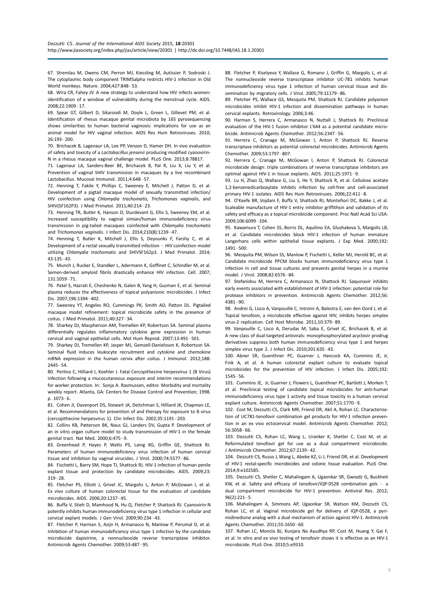67. Stremlau M, Owens CM, Perron MJ, Kiessling M, Autissier P, Sodroski J. The cytoplasmic body component TRIM5alpha restricts HIV-1 infection in Old [World monkeys. Nature. 2004;427:848](http://www.jiasociety.org/index.php/jias/article/view/20301)-53.

68. Wira CR, Fahey JV. A new strategy to understand how HIV infects women: identification of a window of vulnerability during the menstrual cycle. AIDS. 2008;22:1909-17.

69. Spear GT, Gilbert D, Sikaroodi M, Doyle L, Green L, Gillevet PM, et al. Identification of rhesus macaque genital microbiota by 16S pyrosequencing shows similarities to human bacterial vaginosis: implications for use as an animal model for HIV vaginal infection. AIDS Res Hum Retroviruses. 2010; 26:193-200.

70. Brichacek B, Lagenaur LA, Lee PP, Venzon D, Hamer DH. In vivo evaluation of safety and toxicity of a Lactobacillus jensenii producing modified cyanovirin-N in a rhesus macaque vaginal challenge model. PLoS One. 2013;8:78817.

71. Lagenaur LA, Sanders-Beer BE, Brichacek B, Pal R, Liu X, Liu Y, et al. Prevention of vaginal SHIV transmission in macaques by a live recombinant Lactobacillus. Mucosal Immunol. 2011;4:648-57.

72. Henning T, Fakile Y, Phillips C, Sweeney E, Mitchell J, Patton D, et al. Development of a pigtail macaque model of sexually transmitted infection/ HIV coinfection using Chlamydia trachomatis, Trichomonas vaginalis, and SHIV(SF162P3). J Med Primatol. 2011;40:214-23.

73. Henning TR, Butler K, Hanson D, Sturdevant G, Ellis S, Sweeney EM, et al. Increased susceptibility to vaginal simian/human immunodeficiency virus transmission in pig-tailed macaques coinfected with Chlamydia trachomatis and Trichomonas vaginalis. J Infect Dis. 2014;210(8):1239-47.

74. Henning T, Butler K, Mitchell J, Ellis S, Deyounks F, Farshy C, et al. Development of a rectal sexually transmitted infection - HIV coinfection model utilizing Chlamydia trachomatis and SHIVSF162p3. J Med Primatol. 2014; 43:135-43.

75. Munch J, Rucker E, Standker L, Adermann K, Goffinet C, Schindler M, et al. Semen-derived amyloid fibrils drastically enhance HIV infection. Cell. 2007; 131:1059-71.

76. Patel S, Hazrati E, Cheshenko N, Galen B, Yang H, Guzman E, et al. Seminal plasma reduces the effectiveness of topical polyanionic microbicides. J Infect Dis. 2007;196:1394-402.

77. Sweeney YT, Angeles RO, Cummings PK, Smith AD, Patton DL. Pigtailed macaque model refinement: topical microbicide safety in the presence of coitus. J Med Primatol. 2011;40:327-34.

78. Sharkey DJ, Macpherson AM, Tremellen KP, Robertson SA. Seminal plasma differentially regulates inflammatory cytokine gene expression in human cervical and vaginal epithelial cells. Mol Hum Reprod. 2007;13:491-501.

79. Sharkey DJ, Tremellen KP, Jasper MJ, Gemzell-Danielsson K, Robertson SA. Seminal fluid induces leukocyte recruitment and cytokine and chemokine mRNA expression in the human cervix after coitus. J Immunol. 2012;188: 2445-54.

80. Perlino C, Hilliard J, Koehler J. Fatal Cercopithecine herpesvirus 1 (B Virus) infection following a mucocutaneous exposure and interim recommendations for worker protection. In: Sonja A. Rasmussen, editor. Morbidity and mortality weekly report. Atlanta, GA: Centers for Disease Control and Prevention; 1998. p. 1073-6.

81. Cohen JI, Davenport DS, Stewart JA, Deitchman S, Hilliard JK, Chapman LE, et al. Recommendations for prevention of and therapy for exposure to B virus (cercopithecine herpesvirus 1). Clin Infect Dis. 2002;35:1191-203.

82. Collins KB, Patterson BK, Naus GJ, Landers DV, Gupta P. Development of an in vitro organ culture model to study transmission of HIV-1 in the female genital tract. Nat Med. 2000;6:475-9.

83. Greenhead P, Hayes P, Watts PS, Laing KG, Griffin GE, Shattock RJ. Parameters of human immunodeficiency virus infection of human cervical tissue and inhibition by vaginal virucides. J Virol. 2000;74:5577-86.

84. Fischetti L, Barry SM, Hope TJ, Shattock RJ. HIV-1 infection of human penile explant tissue and protection by candidate microbicides. AIDS. 2009;23: 319-28.

85. Fletcher PS, Elliott J, Grivel JC, Margolis L, Anton P, McGowan I, et al. Ex vivo culture of human colorectal tissue for the evaluation of candidate microbicides. AIDS. 2006;20:1237-45.

86. Buffa V, Stieh D, Mamhood N, Hu Q, Fletcher P, Shattock RJ. Cyanovirin-N potently inhibits human immunodeficiency virus type 1 infection in cellular and cervical explant models. J Gen Virol. 2009;90:234-43.

87. Fletcher P, Harman S, Azijn H, Armanasco N, Manlow P, Perumal D, et al. Inhibition of human immunodeficiency virus type 1 infection by the candidate microbicide dapivirine, a nonnucleoside reverse transcriptase inhibitor. Antimicrob Agents Chemother. 2009;53:487-95.

88. Fletcher P, Kiselyeva Y, Wallace G, Romano J, Griffin G, Margolis L, et al. The nonnucleoside reverse transcriptase inhibitor UC-781 inhibits human [immunodeficiency](http://dx.doi.org/10.7448/IAS.18.1.20301) virus type 1 infection of human cervical tissue and dissemination by migratory cells. J Virol. 2005;79:11179-86.

89. Fletcher PS, Wallace GS, Mesquita PM, Shattock RJ. Candidate polyanion microbicides inhibit HIV-1 infection and dissemination pathways in human cervical explants. Retrovirology. 2006;3:46.

90. Harman S, Herrera C, Armanasco N, Nuttall J, Shattock RJ. Preclinical evaluation of the HIV-1 fusion inhibitor L'644 as a potential candidate microbicide. Antimicrob Agents Chemother. 2012;56:2347-56.

91. Herrera C, Cranage M, McGowan I, Anton P, Shattock RJ. Reverse transcriptase inhibitors as potential colorectal microbicides. Antimicrob Agents Chemother. 2009;53:1797-807.

92. Herrera C, Cranage M, McGowan I, Anton P, Shattock RJ. Colorectal microbicide design: triple combinations of reverse transcriptase inhibitors are optimal against HIV-1 in tissue explants. AIDS. 2011;25:1971-9.

93. Lu H, Zhao Q, Wallace G, Liu S, He Y, Shattock R, et al. Cellulose acetate 1,2-benzenedicarboxylate inhibits infection by cell-free and cell-associated primary HIV-1 isolates. AIDS Res Hum Retroviruses. 2006;22:411-8.

94. O'Keefe BR, Vojdani F, Buffa V, Shattock RJ, Montefiori DC, Bakke J, et al. Scaleable manufacture of HIV-1 entry inhibitor griffithsin and validation of its safety and efficacy as a topical microbicide component. Proc Natl Acad Sci USA. 2009;106:6099-104.

95. Kawamura T, Cohen SS, Borris DL, Aquilino EA, Glushakova S, Margolis LB, et al. Candidate microbicides block HIV-1 infection of human immature Langerhans cells within epithelial tissue explants. J Exp Med. 2000;192: 1491-500.

96. Mesquita PM, Wilson SS, Manlow P, Fischetti L, Keller MJ, Herold BC, et al. Candidate microbicide PPCM blocks human immunodeficiency virus type 1 infection in cell and tissue cultures and prevents genital herpes in a murine model. J Virol. 2008;82:6576-84.

97. Stefanidou M, Herrera C, Armanasco N, Shattock RJ. Saquinavir inhibits early events associated with establishment of HIV-1 infection: potential role for protease inhibitors in prevention. Antimicrob Agents Chemother. 2012;56: 4381-90.

98. Andrei G, Lisco A, Vanpouille C, Introini A, Balestra E, van den Oord J, et al. Topical tenofovir, a microbicide effective against HIV, inhibits herpes simplex virus-2 replication. Cell Host Microbe. 2011;10:379-89.

99. Vanpouille C, Lisco A, Derudas M, Saba E, Grivel JC, Brichacek B, et al. A new class of dual-targeted antivirals: monophosphorylated acyclovir prodrug derivatives suppress both human immunodeficiency virus type 1 and herpes simplex virus type 2. J Infect Dis. 2010;201:635-43.

100. Abner SR, Guenthner PC, Guarner J, Hancock KA, Cummins JE, Jr, Fink A, et al. A human colorectal explant culture to evaluate topical microbicides for the prevention of HIV infection. J Infect Dis. 2005;192: 1545-56.

101. Cummins JE, Jr, Guarner J, Flowers L, Guenthner PC, Bartlett J, Morken T, et al. Preclinical testing of candidate topical microbicides for anti-human immunodeficiency virus type 1 activity and tissue toxicity in a human cervical explant culture. Antimicrob Agents Chemother. 2007;51:1770-9.

102. Cost M, Dezzutti CS, Clark MR, Friend DR, Akil A, Rohan LC. Characterization of UC781-tenofovir combination gel products for HIV-1 infection prevention in an ex vivo ectocervical model. Antimicrob Agents Chemother. 2012; 56:3058-66.

103. Dezzutti CS, Rohan LC, Wang L, Uranker K, Shetler C, Cost M, et al. Reformulated tenofovir gel for use as a dual compartment microbicide. J Antimicrob Chemother. 2012;67:2139-42.

104. Dezzutti CS, Russo J, Wang L, Abebe KZ, Li J, Friend DR, et al. Development of HIV-1 rectal-specific microbicides and colonic tissue evaluation. PLoS One. 2014;9:e102585.

105. Dezzutti CS, Shetler C, Mahalingam A, Ugaonkar SR, Gwozdz G, Buckheit KW, et al. Safety and efficacy of tenofovir/IQP-0528 combination gels - a dual compartment microbicide for HIV-1 prevention. Antiviral Res. 2012; 96(2):221-5.

106. Mahalingam A, Simmons AP, Ugaonkar SR, Watson KM, Dezzutti CS, Rohan LC, et al. Vaginal microbicide gel for delivery of IQP-0528, a pyrimidinedione analog with a dual mechanism of action against HIV-1. Antimicrob Agents Chemother. 2011;55:1650-60.

107. Rohan LC, Moncla BJ, Kunjara Na Ayudhya RP, Cost M, Huang Y, Gai F, et al. In vitro and ex vivo testing of tenofovir shows it is effective as an HIV-1 microbicide. PLoS One. 2010;5:e9310.